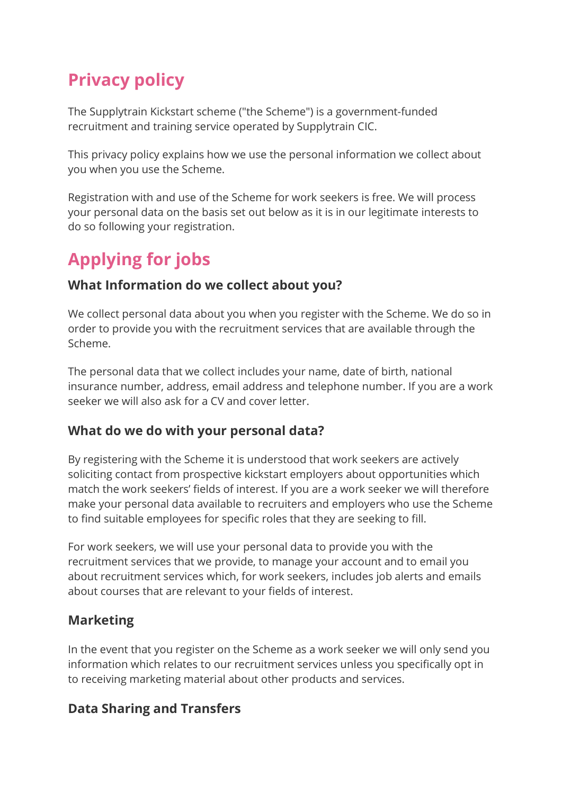# Privacy policy

The Supplytrain Kickstart scheme ("the Scheme") is a government-funded recruitment and training service operated by Supplytrain CIC.

This privacy policy explains how we use the personal information we collect about you when you use the Scheme.

Registration with and use of the Scheme for work seekers is free. We will process your personal data on the basis set out below as it is in our legitimate interests to do so following your registration.

# Applying for jobs

### What Information do we collect about you?

We collect personal data about you when you register with the Scheme. We do so in order to provide you with the recruitment services that are available through the Scheme.

The personal data that we collect includes your name, date of birth, national insurance number, address, email address and telephone number. If you are a work seeker we will also ask for a CV and cover letter.

#### What do we do with your personal data?

By registering with the Scheme it is understood that work seekers are actively soliciting contact from prospective kickstart employers about opportunities which match the work seekers' fields of interest. If you are a work seeker we will therefore make your personal data available to recruiters and employers who use the Scheme to find suitable employees for specific roles that they are seeking to fill.

For work seekers, we will use your personal data to provide you with the recruitment services that we provide, to manage your account and to email you about recruitment services which, for work seekers, includes job alerts and emails about courses that are relevant to your fields of interest.

## Marketing

In the event that you register on the Scheme as a work seeker we will only send you information which relates to our recruitment services unless you specifically opt in to receiving marketing material about other products and services.

## Data Sharing and Transfers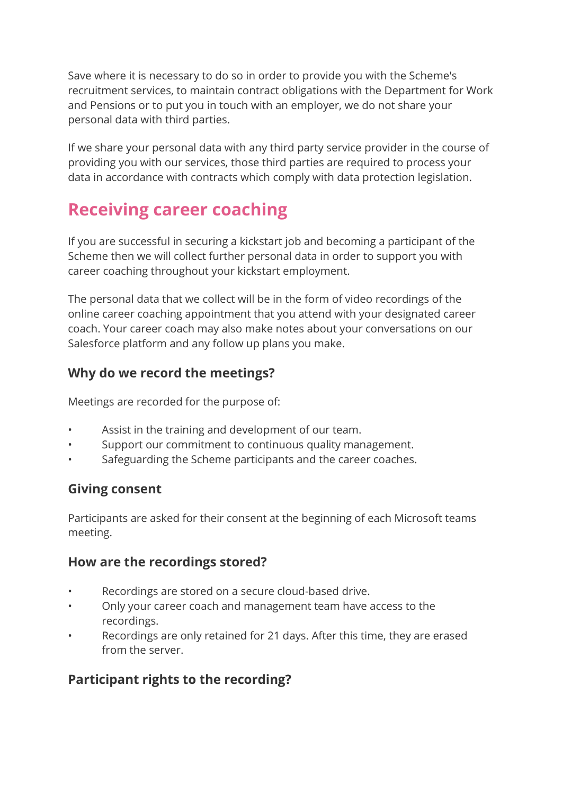Save where it is necessary to do so in order to provide you with the Scheme's recruitment services, to maintain contract obligations with the Department for Work and Pensions or to put you in touch with an employer, we do not share your personal data with third parties.

If we share your personal data with any third party service provider in the course of providing you with our services, those third parties are required to process your data in accordance with contracts which comply with data protection legislation.

# Receiving career coaching

If you are successful in securing a kickstart job and becoming a participant of the Scheme then we will collect further personal data in order to support you with career coaching throughout your kickstart employment.

The personal data that we collect will be in the form of video recordings of the online career coaching appointment that you attend with your designated career coach. Your career coach may also make notes about your conversations on our Salesforce platform and any follow up plans you make.

### Why do we record the meetings?

Meetings are recorded for the purpose of:

- Assist in the training and development of our team.
- Support our commitment to continuous quality management.
- Safeguarding the Scheme participants and the career coaches.

#### Giving consent

Participants are asked for their consent at the beginning of each Microsoft teams meeting.

#### How are the recordings stored?

- Recordings are stored on a secure cloud-based drive.
- Only your career coach and management team have access to the recordings.
- Recordings are only retained for 21 days. After this time, they are erased from the server.

## Participant rights to the recording?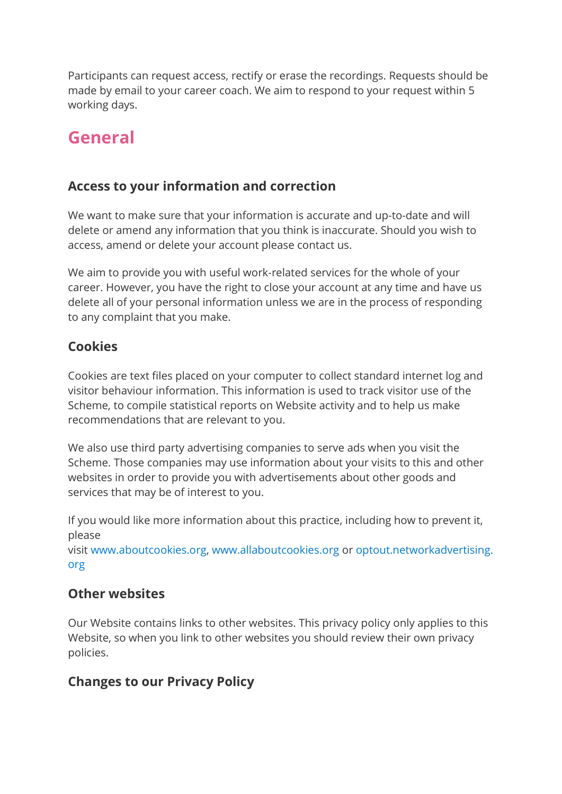Participants can request access, rectify or erase the recordings. Requests should be made by email to your career coach. We aim to respond to your request within 5 working days.

## General

### Access to your information and correction

We want to make sure that your information is accurate and up-to-date and will delete or amend any information that you think is inaccurate. Should you wish to access, amend or delete your account please contact us.

We aim to provide you with useful work-related services for the whole of your career. However, you have the right to close your account at any time and have us delete all of your personal information unless we are in the process of responding to any complaint that you make.

### Cookies

Cookies are text files placed on your computer to collect standard internet log and visitor behaviour information. This information is used to track visitor use of the Scheme, to compile statistical reports on Website activity and to help us make recommendations that are relevant to you.

We also use third party advertising companies to serve ads when you visit the Scheme. Those companies may use information about your visits to this and other websites in order to provide you with advertisements about other goods and services that may be of interest to you.

If you would like more information about this practice, including how to prevent it, please

visit www.aboutcookies.org, www.allaboutcookies.org or optout.networkadvertising. org

#### Other websites

Our Website contains links to other websites. This privacy policy only applies to this Website, so when you link to other websites you should review their own privacy policies.

## Changes to our Privacy Policy